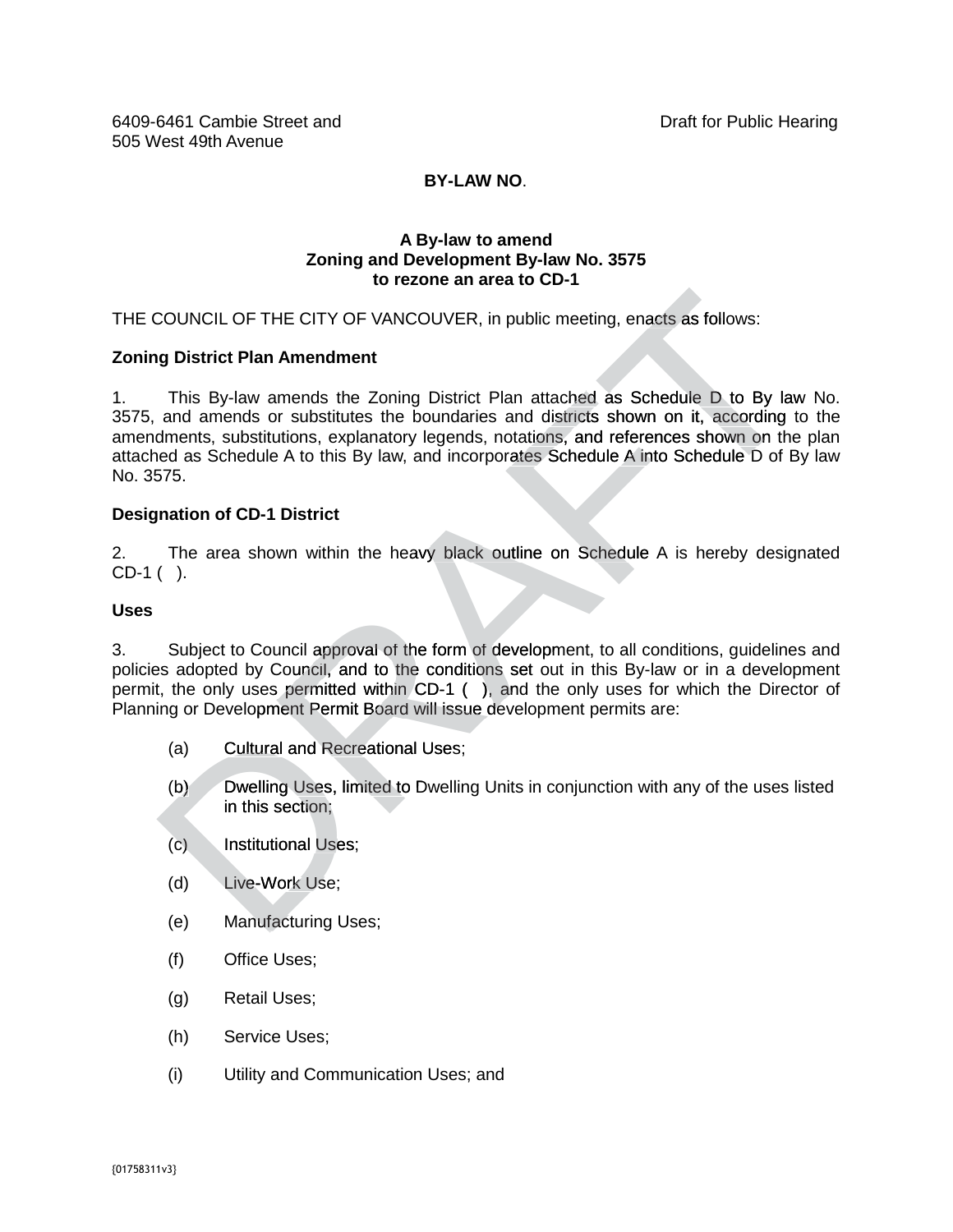## **BY-LAW NO**.

#### **A By-law to amend Zoning and Development By-law No. 3575 to rezone an area to CD-1**

THE COUNCIL OF THE CITY OF VANCOUVER, in public meeting, enacts as follows:

#### **Zoning District Plan Amendment**

1. This By-law amends the Zoning District Plan attached as Schedule D to By law No. 3575, and amends or substitutes the boundaries and districts shown on it, according to the THE COUNCIL OF THE CITY OF VANCOUVER, in public meeting, enacts as follows:<br> **Zoning District Plan Amendment**<br>
1. This By-law amends the Zoning District Plan attached as Schedule D to By law No.<br>
3575, and amends or substi attached as Schedule A to this By law, and incorporates Schedule A into Schedule D of By law No. 3575. attached as Schedule A to this By law, and incorporates Schedule A into Schedule D of By law<br>No. 3575.<br>Designation of CD-1 District<br>2. The area shown within the heavy black outline on Schedule A is hereby designated COUNCIL OF THE CITY OF VANCOUVER, in public meeting, enacts as follows:<br> **Sollow The CITY OF VANCOUVER**, in public meeting, enacts as follows:<br>
and amendos or substitutions enboundaries and districts shown on it, according

#### **Designation of CD-1 District**

CD-1 ( ).

#### **Uses**

3. Subject to Council approval of the form of development, to all conditions, guidelines and 3. Subject to Council approval of the form of development, to all conditions, guidelines and<br>policies adopted by Council, and to the conditions set out in this By-law or in a development permit, the only uses permitted within CD-1 ( ), and the only uses for which the Director of Planning or Development Permit Board will issue development permits are: (b) the only uses permitted within CD-1 (c), and the only uses for which the Director of g or Development Permit Board will issue development permits are:<br>
(a) Cultural and Recreational Uses;<br>
(b) Dwelling Uses, limited to

- (a) Cultural and Recreational Uses;
- in this section;
- (c) Institutional Uses;
- (d) Live-Work Use;
- (e) Manufacturing Uses;
- (f) Office Uses;
- (g) Retail Uses;
- (h) Service Uses;
- (i) Utility and Communication Uses; and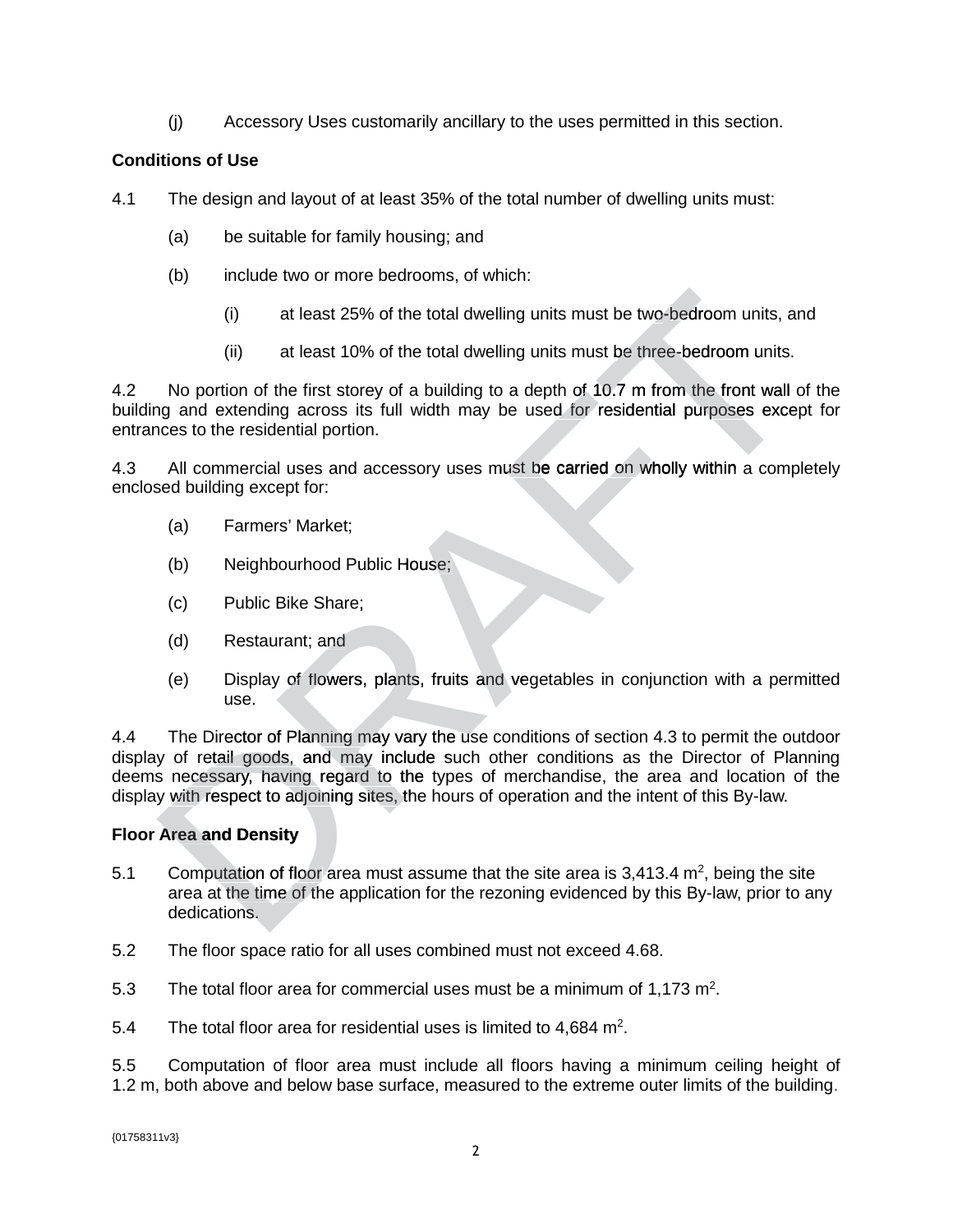(j) Accessory Uses customarily ancillary to the uses permitted in this section.

## **Conditions of Use**

- 4.1 The design and layout of at least 35% of the total number of dwelling units must:
	- (a) be suitable for family housing; and
	- (b) include two or more bedrooms, of which:
		- $(i)$  at least 25% of the total dwelling units must be two-bedroom units, and
		- (ii) at least 10% of the total dwelling units must be three-bedroom units.

4.2 No portion of the first storey of a building to a depth of 10.7 m from the front wall of the building and extending across its full width may be used for residential purposes except for entrances to the residential portion.

4.3 All commercial uses and accessory uses must be carried on wholly within a completely enclosed building except for:

- (a) Farmers' Market;
- (b) Neighbourhood Public House;
- (c) Public Bike Share;
- (d) Restaurant; and
- (e) Display of flowers, plants, fruits and vegetables in conjunction with a permitted use.

4.4 The Director of Planning may vary the use conditions of section 4.3 to permit the outdoor 4.3 display of retail goods, and may include such other conditions as the Director of Planning deems necessary, having regard to the types of merchandise, the area and location of the display with respect to adjoining sites, the hours of operation and the intent of this By-law. By (i) at least 25% of the total dwelling units must be two-bedroom units, and<br>
(ii) at least 25% of the total dwelling units must be two-bedroom units.<br>
No portion of the first storey of a building to a depth of 10.7 m from

## **Floor Area and Density**

- 5.1 Computation of floor area must assume that the site area is 3,413.4  $m^2$ , being the site area at the time of the application for the rezoning evidenced by this By-law, prior to any By dedications.
- 5.2 The floor space ratio for all uses combined must not exceed 4.68.
- 5.3 The total floor area for commercial uses must be a minimum of 1,173  $m^2$ .
- 5.4 The total floor area for residential uses is limited to  $4,684$  m<sup>2</sup>.

5.5 Computation of floor area must include all floors having a minimum ceiling height of 1.2 m, both above and below base surface, measured to the extreme outer limits of the building.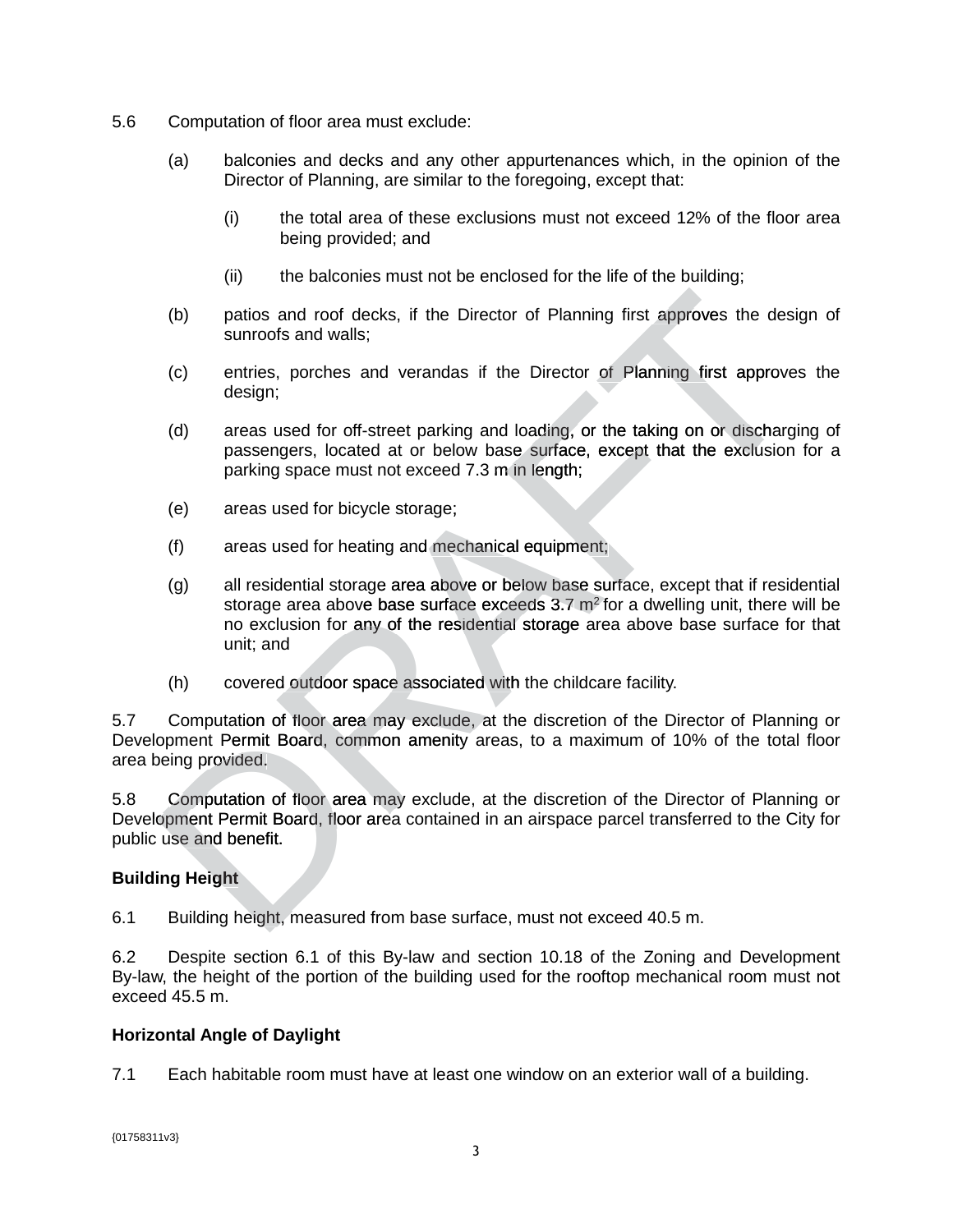- 5.6 Computation of floor area must exclude:
	- (a) balconies and decks and any other appurtenances which, in the opinion of the Director of Planning, are similar to the foregoing, except that:
		- (i) the total area of these exclusions must not exceed 12% of the floor area being provided; and
		- (ii) the balconies must not be enclosed for the life of the building;
	- (b) patios and roof decks, if the Director of Planning first approves the design of sunroofs and walls;
	- (c) entries, porches and verandas if the Director of Planning first approves the design;
	- (d) areas used for off-street parking and loading, or the taking on or discharging of passengers, located at or below base surface, except that the exclusion for a parking space must not exceed 7.3 m in length;
	- (e) areas used for bicycle storage;
	- (f) areas used for heating and mechanical equipment;
	- (g) all residential storage area above or below base surface, except that if residential storage area above base surface exceeds  $3.7 \text{ m}^2$  for a dwelling unit, there will be no exclusion for any of the residential storage area above base surface for that unit; and (b)<br>patios and roof decks, if the Director of Planning first approves the designations<br>of decks, if the Director of Planning first approves<br>design;<br>(c) entries, porches and verandas if the Director of Planning first appro street parking and loading,<br>ed at or below base surface<br>t not exceed 7.3 m in length<br>cle storage;<br>ting and mechanical equipm<br>ge area above or below bas<br>e base surface exceeds 3.7<br>hy of the residential storage
		- (h) covered outdoor space associated with the childcare facility.

5.7 Computation of floor area may exclude, at the discretion of the Director of Planning or Development Permit Board, common amenity areas, to a maximum of 10% of the total floor area being provided.

5.8 Computation of floor area may exclude, at the discretion of the Director of Planning or Development Permit Board, floor area contained in an airspace parcel transferred to the City for public use and benefit.

## **Building Height**

6.1 Building height, measured from base surface, must not exceed 40.5 m.

6.2 Despite section 6.1 of this By-law and section 10.18 of the Zoning and Development By-law, the height of the portion of the building used for the rooftop mechanical room must not exceed 45.5 m.

## **Horizontal Angle of Daylight**

7.1 Each habitable room must have at least one window on an exterior wall of a building.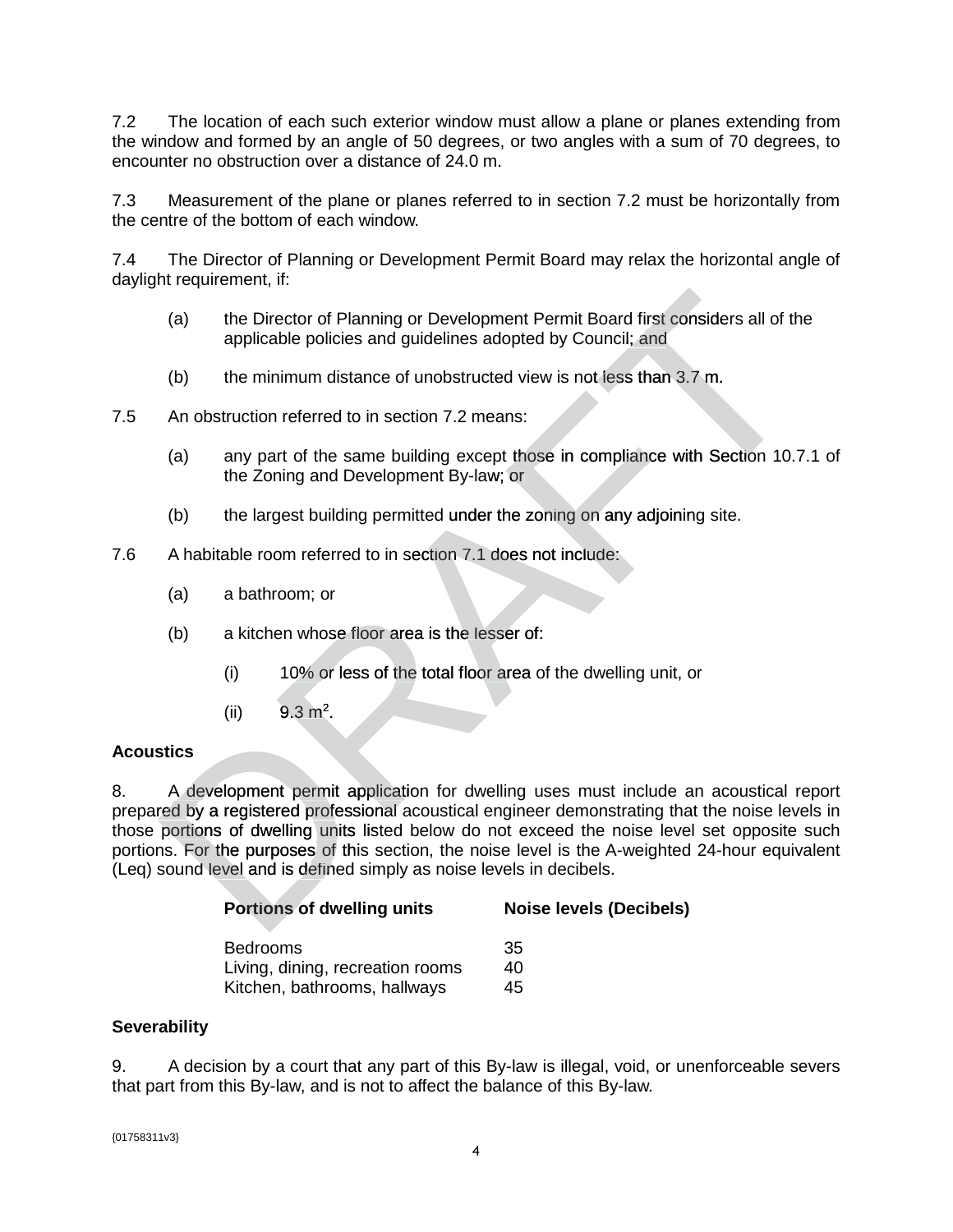7.2 The location of each such exterior window must allow a plane or planes extending from the window and formed by an angle of 50 degrees, or two angles with a sum of 70 degrees, to encounter no obstruction over a distance of 24.0 m.

7.3 Measurement of the plane or planes referred to in section 7.2 must be horizontally from the centre of the bottom of each window.

7.4 The Director of Planning or Development Permit Board may relax the horizontal angle of daylight requirement, if:

- (a) the Director of Planning or Development Permit Board first considers all of the applicable policies and guidelines adopted by Council; and
- (b) the minimum distance of unobstructed view is not less than 3.7 m.
- 7.5 An obstruction referred to in section 7.2 means:
	- (a) any part of the same building except those in compliance with Section 10.7.1 of the Zoning and Development By-law; or law;
	- (b) the largest building permitted under the zoning on any adjoining site.
- 7.6 A habitable room referred to in section 7.1 does not include:
	- (a) a bathroom; or
	- (b) a kitchen whose floor area is the lesser of:
		- (i) 10% or less of the total floor area of the dwelling unit, or
		- (ii)  $9.3 \text{ m}^2$ .

## **Acoustics**

8. A development permit application for dwelling uses must include an acoustical report prepared by a registered professional acoustical engineer demonstrating that the noise levels in those portions of dwelling units listed below do not exceed the noise level set opposite such portions. For the purposes of this section, the noise level is the A-weighted 24-hour equivalent A (Leq) sound level and is defined simply as noise levels in decibels. (a) the Director of Planning or Development Permit Board first considers all of the Director of Planning or Development Permit Board first considers all of the applicable policies and guidelines adopted by Council; and<br>
(

| <b>Portions of dwelling units</b> | <b>Noise levels (Decibels)</b> |  |
|-----------------------------------|--------------------------------|--|
| <b>Bedrooms</b>                   | 35                             |  |
| Living, dining, recreation rooms  | 40                             |  |
| Kitchen, bathrooms, hallways      | 45                             |  |
|                                   |                                |  |

## **Severability**

9. A decision by a court that any part of this By-law is illegal, void, or unenforceable severs that part from this By-law, and is not to affect the balance of this By-law.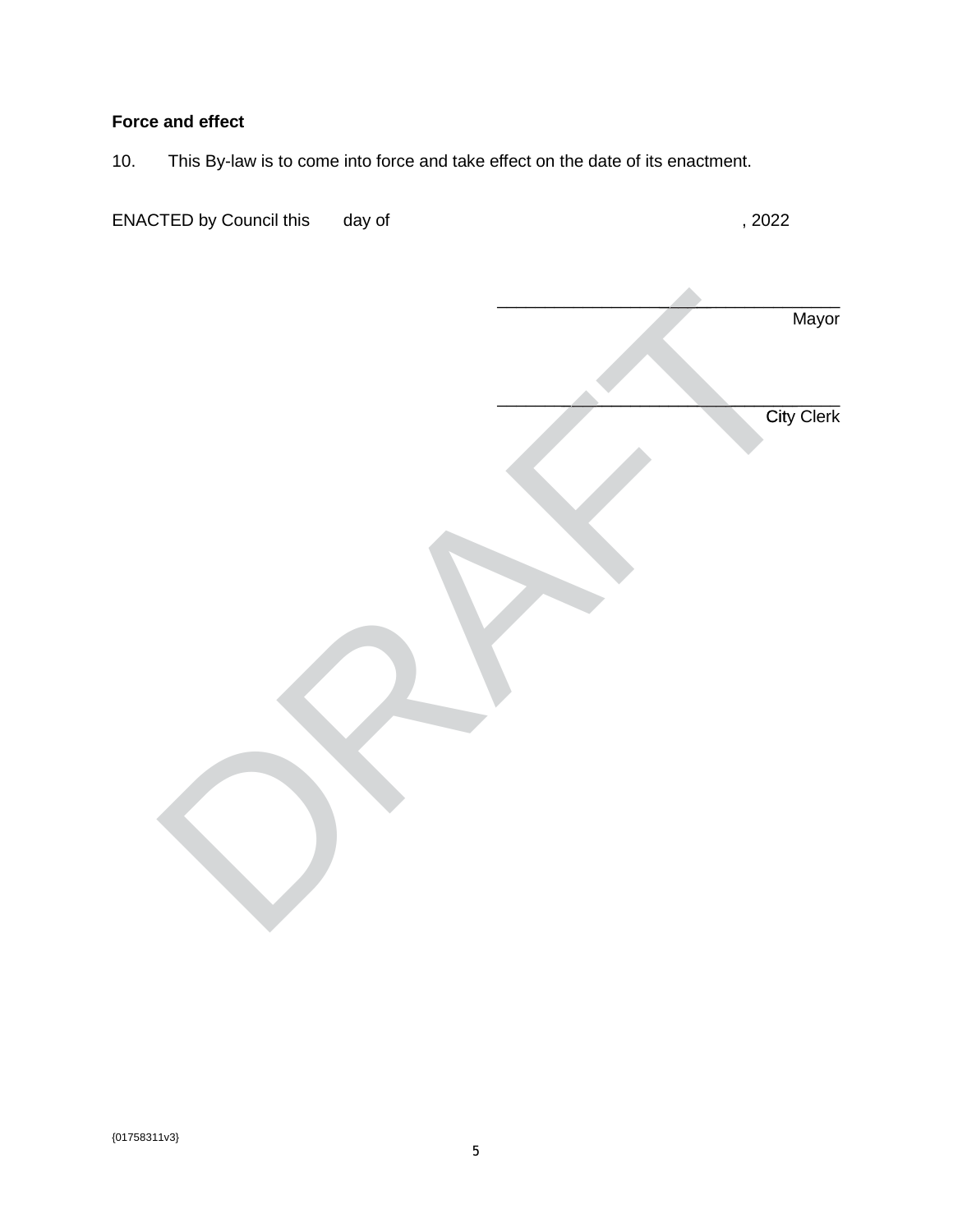# **Force and effect**

10. This By-law is to come into force and take effect on the date of its enactment.

| <b>ENACTED by Council this</b> | day of | ,2022             |
|--------------------------------|--------|-------------------|
|                                |        | Mayor             |
|                                |        | <b>City Clerk</b> |
|                                |        |                   |
|                                |        |                   |
|                                |        |                   |
|                                |        |                   |
|                                |        |                   |